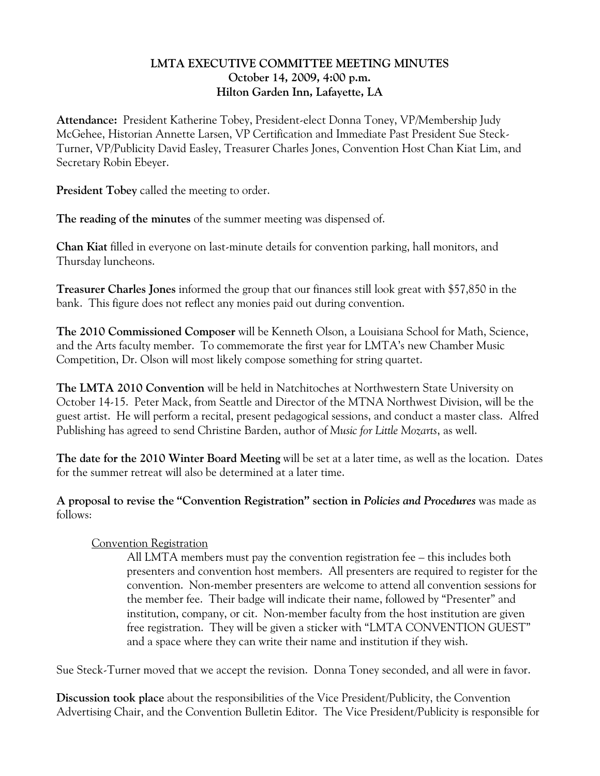### LMTA EXECUTIVE COMMITTEE MEETING MINUTES October 14, 2009, 4:00 p.m. Hilton Garden Inn, Lafayette, LA

Attendance: President Katherine Tobey, President-elect Donna Toney, VP/Membership Judy McGehee, Historian Annette Larsen, VP Certification and Immediate Past President Sue Steck-Turner, VP/Publicity David Easley, Treasurer Charles Jones, Convention Host Chan Kiat Lim, and Secretary Robin Ebeyer.

**President Tobey called the meeting to order.** 

The reading of the minutes of the summer meeting was dispensed of.

Chan Kiat filled in everyone on last-minute details for convention parking, hall monitors, and Thursday luncheons.

Treasurer Charles Jones informed the group that our finances still look great with \$57,850 in the bank. This figure does not reflect any monies paid out during convention.

The 2010 Commissioned Composer will be Kenneth Olson, a Louisiana School for Math, Science, and the Arts faculty member. To commemorate the first year for LMTA's new Chamber Music Competition, Dr. Olson will most likely compose something for string quartet.

The LMTA 2010 Convention will be held in Natchitoches at Northwestern State University on October 14-15. Peter Mack, from Seattle and Director of the MTNA Northwest Division, will be the guest artist. He will perform a recital, present pedagogical sessions, and conduct a master class. Alfred Publishing has agreed to send Christine Barden, author of Music for Little Mozarts, as well.

The date for the 2010 Winter Board Meeting will be set at a later time, as well as the location. Dates for the summer retreat will also be determined at a later time.

A proposal to revise the "Convention Registration" section in Policies and Procedures was made as follows:

# Convention Registration

All LMTA members must pay the convention registration fee – this includes both presenters and convention host members. All presenters are required to register for the convention. Non-member presenters are welcome to attend all convention sessions for the member fee. Their badge will indicate their name, followed by "Presenter" and institution, company, or cit. Non-member faculty from the host institution are given free registration. They will be given a sticker with "LMTA CONVENTION GUEST" and a space where they can write their name and institution if they wish.

Sue Steck-Turner moved that we accept the revision. Donna Toney seconded, and all were in favor.

Discussion took place about the responsibilities of the Vice President/Publicity, the Convention Advertising Chair, and the Convention Bulletin Editor. The Vice President/Publicity is responsible for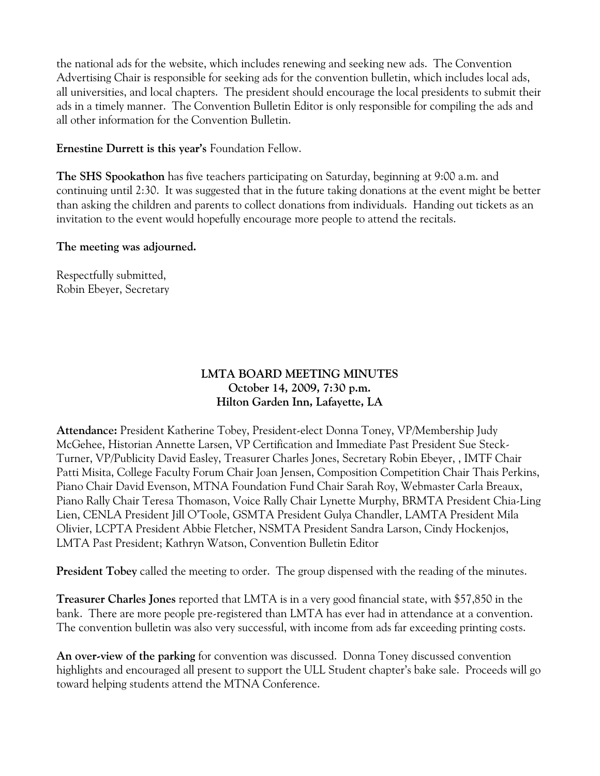the national ads for the website, which includes renewing and seeking new ads. The Convention Advertising Chair is responsible for seeking ads for the convention bulletin, which includes local ads, all universities, and local chapters. The president should encourage the local presidents to submit their ads in a timely manner. The Convention Bulletin Editor is only responsible for compiling the ads and all other information for the Convention Bulletin.

Ernestine Durrett is this year's Foundation Fellow.

The SHS Spookathon has five teachers participating on Saturday, beginning at 9:00 a.m. and continuing until 2:30. It was suggested that in the future taking donations at the event might be better than asking the children and parents to collect donations from individuals. Handing out tickets as an invitation to the event would hopefully encourage more people to attend the recitals.

#### The meeting was adjourned.

Respectfully submitted, Robin Ebeyer, Secretary

# LMTA BOARD MEETING MINUTES October 14, 2009, 7:30 p.m. Hilton Garden Inn, Lafayette, LA

Attendance: President Katherine Tobey, President-elect Donna Toney, VP/Membership Judy McGehee, Historian Annette Larsen, VP Certification and Immediate Past President Sue Steck-Turner, VP/Publicity David Easley, Treasurer Charles Jones, Secretary Robin Ebeyer, , IMTF Chair Patti Misita, College Faculty Forum Chair Joan Jensen, Composition Competition Chair Thais Perkins, Piano Chair David Evenson, MTNA Foundation Fund Chair Sarah Roy, Webmaster Carla Breaux, Piano Rally Chair Teresa Thomason, Voice Rally Chair Lynette Murphy, BRMTA President Chia-Ling Lien, CENLA President Jill O'Toole, GSMTA President Gulya Chandler, LAMTA President Mila Olivier, LCPTA President Abbie Fletcher, NSMTA President Sandra Larson, Cindy Hockenjos, LMTA Past President; Kathryn Watson, Convention Bulletin Editor

President Tobey called the meeting to order. The group dispensed with the reading of the minutes.

Treasurer Charles Jones reported that LMTA is in a very good financial state, with \$57,850 in the bank. There are more people pre-registered than LMTA has ever had in attendance at a convention. The convention bulletin was also very successful, with income from ads far exceeding printing costs.

An over-view of the parking for convention was discussed. Donna Toney discussed convention highlights and encouraged all present to support the ULL Student chapter's bake sale. Proceeds will go toward helping students attend the MTNA Conference.